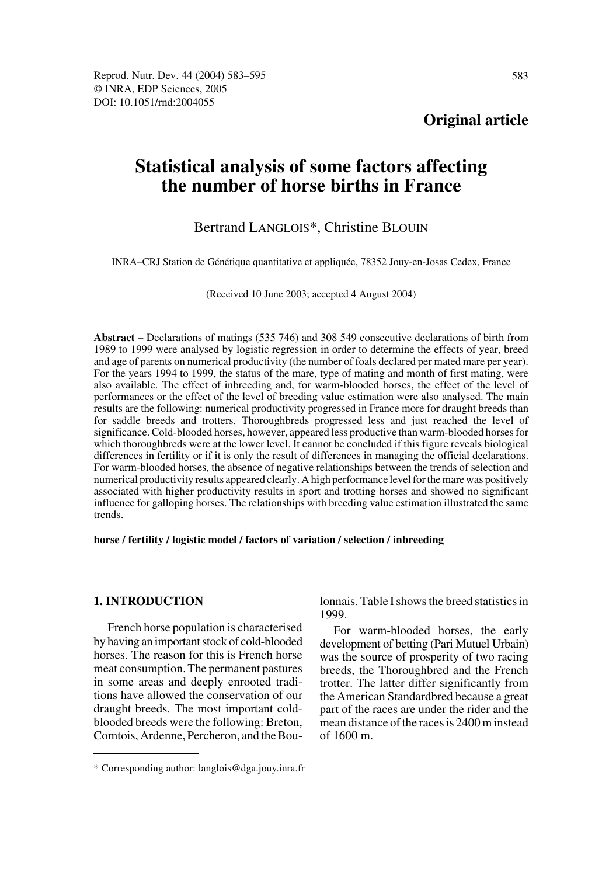# **Statistical analysis of some factors affecting the number of horse births in France**

## Bertrand LANGLOIS\*, Christine BLOUIN

INRA–CRJ Station de Génétique quantitative et appliquée, 78352 Jouy-en-Josas Cedex, France

(Received 10 June 2003; accepted 4 August 2004)

**Abstract** – Declarations of matings (535 746) and 308 549 consecutive declarations of birth from 1989 to 1999 were analysed by logistic regression in order to determine the effects of year, breed and age of parents on numerical productivity (the number of foals declared per mated mare per year). For the years 1994 to 1999, the status of the mare, type of mating and month of first mating, were also available. The effect of inbreeding and, for warm-blooded horses, the effect of the level of performances or the effect of the level of breeding value estimation were also analysed. The main results are the following: numerical productivity progressed in France more for draught breeds than for saddle breeds and trotters. Thoroughbreds progressed less and just reached the level of significance. Cold-blooded horses, however, appeared less productive than warm-blooded horses for which thoroughbreds were at the lower level. It cannot be concluded if this figure reveals biological differences in fertility or if it is only the result of differences in managing the official declarations. For warm-blooded horses, the absence of negative relationships between the trends of selection and numerical productivity results appeared clearly. A high performance level for the mare was positively associated with higher productivity results in sport and trotting horses and showed no significant influence for galloping horses. The relationships with breeding value estimation illustrated the same trends.

#### **horse / fertility / logistic model / factors of variation / selection / inbreeding**

## **1. INTRODUCTION**

French horse population is characterised by having an important stock of cold-blooded horses. The reason for this is French horse meat consumption. The permanent pastures in some areas and deeply enrooted traditions have allowed the conservation of our draught breeds. The most important coldblooded breeds were the following: Breton, Comtois, Ardenne, Percheron, and the Boulonnais. Table I shows the breed statistics in 1999.

For warm-blooded horses, the early development of betting (Pari Mutuel Urbain) was the source of prosperity of two racing breeds, the Thoroughbred and the French trotter. The latter differ significantly from the American Standardbred because a great part of the races are under the rider and the mean distance of the races is 2400 m instead of 1600 m.

<sup>\*</sup> Corresponding author: langlois@dga.jouy.inra.fr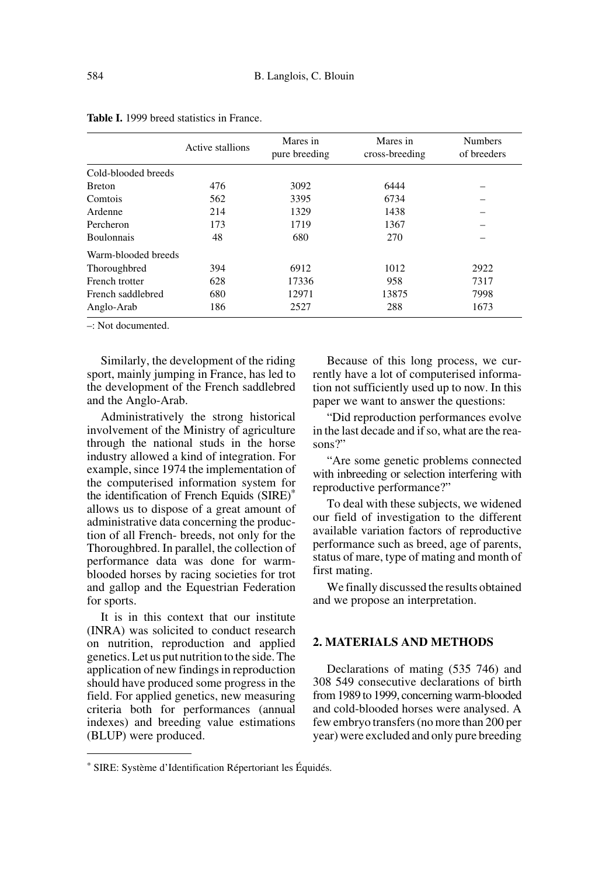|                     | Active stallions | Mares in<br>pure breeding | Mares in<br>cross-breeding | <b>Numbers</b><br>of breeders |
|---------------------|------------------|---------------------------|----------------------------|-------------------------------|
| Cold-blooded breeds |                  |                           |                            |                               |
| <b>Breton</b>       | 476              | 3092                      | 6444                       |                               |
| Comtois             | 562              | 3395                      | 6734                       |                               |
| Ardenne             | 214              | 1329                      | 1438                       |                               |
| Percheron           | 173              | 1719                      | 1367                       |                               |
| <b>Boulonnais</b>   | 48               | 680                       | 270                        |                               |
| Warm-blooded breeds |                  |                           |                            |                               |
| Thoroughbred        | 394              | 6912                      | 1012                       | 2922                          |
| French trotter      | 628              | 17336                     | 958                        | 7317                          |
| French saddlebred   | 680              | 12971                     | 13875                      | 7998                          |
| Anglo-Arab          | 186              | 2527                      | 288                        | 1673                          |

|  |  |  | <b>Table I.</b> 1999 breed statistics in France. |  |  |
|--|--|--|--------------------------------------------------|--|--|
|--|--|--|--------------------------------------------------|--|--|

–: Not documented.

Similarly, the development of the riding sport, mainly jumping in France, has led to the development of the French saddlebred and the Anglo-Arab.

Administratively the strong historical involvement of the Ministry of agriculture through the national studs in the horse industry allowed a kind of integration. For example, since 1974 the implementation of the computerised information system for the identification of French Equids (SIRE)\* allows us to dispose of a great amount of administrative data concerning the production of all French- breeds, not only for the Thoroughbred. In parallel, the collection of performance data was done for warmblooded horses by racing societies for trot and gallop and the Equestrian Federation for sports.

It is in this context that our institute (INRA) was solicited to conduct research on nutrition, reproduction and applied genetics. Let us put nutrition to the side. The application of new findings in reproduction should have produced some progress in the field. For applied genetics, new measuring criteria both for performances (annual indexes) and breeding value estimations (BLUP) were produced.

Because of this long process, we currently have a lot of computerised information not sufficiently used up to now. In this paper we want to answer the questions:

"Did reproduction performances evolve in the last decade and if so, what are the reasons?"

"Are some genetic problems connected with inbreeding or selection interfering with reproductive performance?"

To deal with these subjects, we widened our field of investigation to the different available variation factors of reproductive performance such as breed, age of parents, status of mare, type of mating and month of first mating.

We finally discussed the results obtained and we propose an interpretation.

## **2. MATERIALS AND METHODS**

Declarations of mating (535 746) and 308 549 consecutive declarations of birth from 1989 to 1999, concerning warm-blooded and cold-blooded horses were analysed. A few embryo transfers (no more than 200 per year) were excluded and only pure breeding

<sup>\*</sup> SIRE: Système d'Identification Répertoriant les Équidés.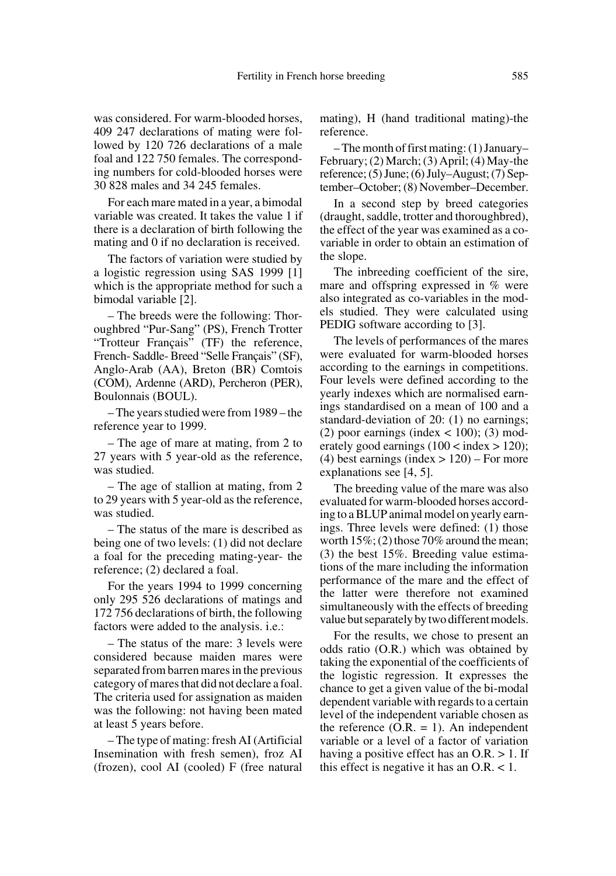was considered. For warm-blooded horses, 409 247 declarations of mating were followed by 120 726 declarations of a male foal and 122 750 females. The corresponding numbers for cold-blooded horses were 30 828 males and 34 245 females.

For each mare mated in a year, a bimodal variable was created. It takes the value 1 if there is a declaration of birth following the mating and 0 if no declaration is received.

The factors of variation were studied by a logistic regression using SAS 1999 [1] which is the appropriate method for such a bimodal variable [2].

– The breeds were the following: Thoroughbred "Pur-Sang" (PS), French Trotter "Trotteur Français" (TF) the reference, French- Saddle- Breed "Selle Français" (SF), Anglo-Arab (AA), Breton (BR) Comtois (COM), Ardenne (ARD), Percheron (PER), Boulonnais (BOUL).

– The years studied were from 1989 – the reference year to 1999.

– The age of mare at mating, from 2 to 27 years with 5 year-old as the reference, was studied.

– The age of stallion at mating, from 2 to 29 years with 5 year-old as the reference, was studied.

– The status of the mare is described as being one of two levels: (1) did not declare a foal for the preceding mating-year- the reference; (2) declared a foal.

For the years 1994 to 1999 concerning only 295 526 declarations of matings and 172 756 declarations of birth, the following factors were added to the analysis. i.e.:

– The status of the mare: 3 levels were considered because maiden mares were separated from barren mares in the previous category of mares that did not declare a foal. The criteria used for assignation as maiden was the following: not having been mated at least 5 years before.

– The type of mating: fresh AI (Artificial Insemination with fresh semen), froz AI (frozen), cool AI (cooled) F (free natural mating), H (hand traditional mating)-the reference.

– The month of first mating: (1) January– February; (2) March; (3) April; (4) May-the reference; (5) June; (6) July–August; (7) September–October; (8) November–December.

In a second step by breed categories (draught, saddle, trotter and thoroughbred), the effect of the year was examined as a covariable in order to obtain an estimation of the slope.

The inbreeding coefficient of the sire, mare and offspring expressed in % were also integrated as co-variables in the models studied. They were calculated using PEDIG software according to [3].

The levels of performances of the mares were evaluated for warm-blooded horses according to the earnings in competitions. Four levels were defined according to the yearly indexes which are normalised earnings standardised on a mean of 100 and a standard-deviation of 20: (1) no earnings; (2) poor earnings (index  $\lt$  100); (3) moderately good earnings  $(100 \text{ m})$  = index > 120); (4) best earnings (index  $> 120$ ) – For more explanations see [4, 5].

The breeding value of the mare was also evaluated for warm-blooded horses according to a BLUP animal model on yearly earnings. Three levels were defined: (1) those worth  $15\%$ ; (2) those 70% around the mean; (3) the best 15%. Breeding value estimations of the mare including the information performance of the mare and the effect of the latter were therefore not examined simultaneously with the effects of breeding value but separately by two different models.

For the results, we chose to present an odds ratio (O.R.) which was obtained by taking the exponential of the coefficients of the logistic regression. It expresses the chance to get a given value of the bi-modal dependent variable with regards to a certain level of the independent variable chosen as the reference  $(O.R. = 1)$ . An independent variable or a level of a factor of variation having a positive effect has an O.R. > 1. If this effect is negative it has an O.R. < 1.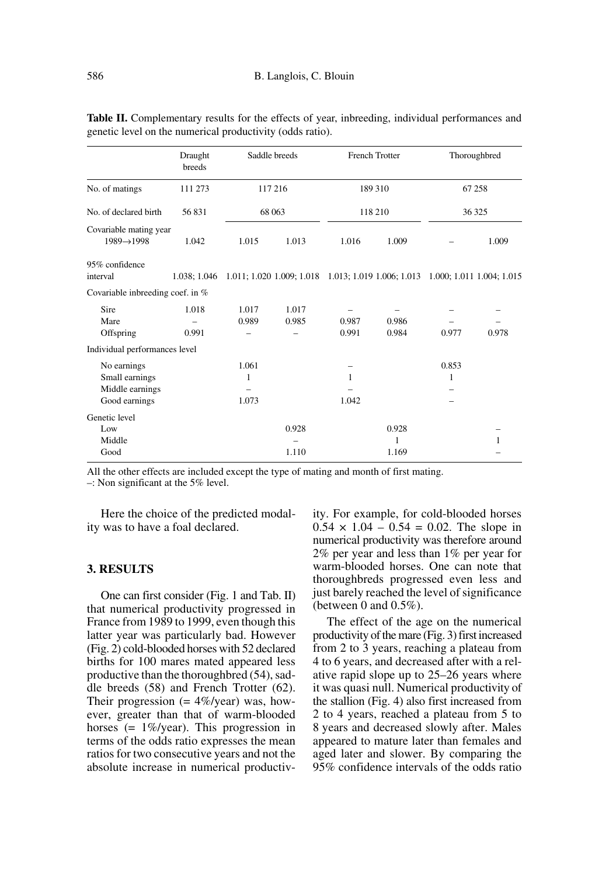|                                                                   | Draught<br>breeds | Saddle breeds       |                | <b>French Trotter</b>                                                         |                     | Thoroughbred |       |
|-------------------------------------------------------------------|-------------------|---------------------|----------------|-------------------------------------------------------------------------------|---------------------|--------------|-------|
| No. of matings                                                    | 111 273           | 117 216             |                | 189 310                                                                       |                     | 67 258       |       |
| No. of declared birth                                             | 56831             | 68 063              |                | 118 210                                                                       |                     | 36 325       |       |
| Covariable mating year<br>$1989 \rightarrow 1998$                 | 1.042             | 1.015               | 1.013          | 1.016                                                                         | 1.009               |              | 1.009 |
| 95% confidence<br>interval                                        | 1.038: 1.046      |                     |                | 1.011; 1.020 1.009; 1.018 1.013; 1.019 1.006; 1.013 1.000; 1.011 1.004; 1.015 |                     |              |       |
| Covariable inbreeding coef. in %                                  |                   |                     |                |                                                                               |                     |              |       |
| Sire<br>Mare<br>Offspring                                         | 1.018<br>0.991    | 1.017<br>0.989      | 1.017<br>0.985 | 0.987<br>0.991                                                                | 0.986<br>0.984      | 0.977        | 0.978 |
| Individual performances level                                     |                   |                     |                |                                                                               |                     |              |       |
| No earnings<br>Small earnings<br>Middle earnings<br>Good earnings |                   | 1.061<br>1<br>1.073 |                | 1<br>1.042                                                                    |                     | 0.853<br>1   |       |
| Genetic level<br>Low<br>Middle<br>Good                            |                   |                     | 0.928<br>1.110 |                                                                               | 0.928<br>1<br>1.169 |              | 1     |

Table II. Complementary results for the effects of year, inbreeding, individual performances and genetic level on the numerical productivity (odds ratio).

All the other effects are included except the type of mating and month of first mating.

–: Non significant at the 5% level.

Here the choice of the predicted modality was to have a foal declared.

### **3. RESULTS**

One can first consider (Fig. 1 and Tab. II) that numerical productivity progressed in France from 1989 to 1999, even though this latter year was particularly bad. However (Fig. 2) cold-blooded horses with 52 declared births for 100 mares mated appeared less productive than the thoroughbred (54), saddle breeds (58) and French Trotter (62). Their progression  $(= 4\% / \text{year})$  was, however, greater than that of warm-blooded horses (= 1%/year). This progression in terms of the odds ratio expresses the mean ratios for two consecutive years and not the absolute increase in numerical productivity. For example, for cold-blooded horses  $0.54 \times 1.04 - 0.54 = 0.02$ . The slope in numerical productivity was therefore around 2% per year and less than 1% per year for warm-blooded horses. One can note that thoroughbreds progressed even less and just barely reached the level of significance (between 0 and 0.5%).

The effect of the age on the numerical productivity of the mare (Fig. 3) first increased from 2 to 3 years, reaching a plateau from 4 to 6 years, and decreased after with a relative rapid slope up to 25–26 years where it was quasi null. Numerical productivity of the stallion (Fig. 4) also first increased from 2 to 4 years, reached a plateau from 5 to 8 years and decreased slowly after. Males appeared to mature later than females and aged later and slower. By comparing the 95% confidence intervals of the odds ratio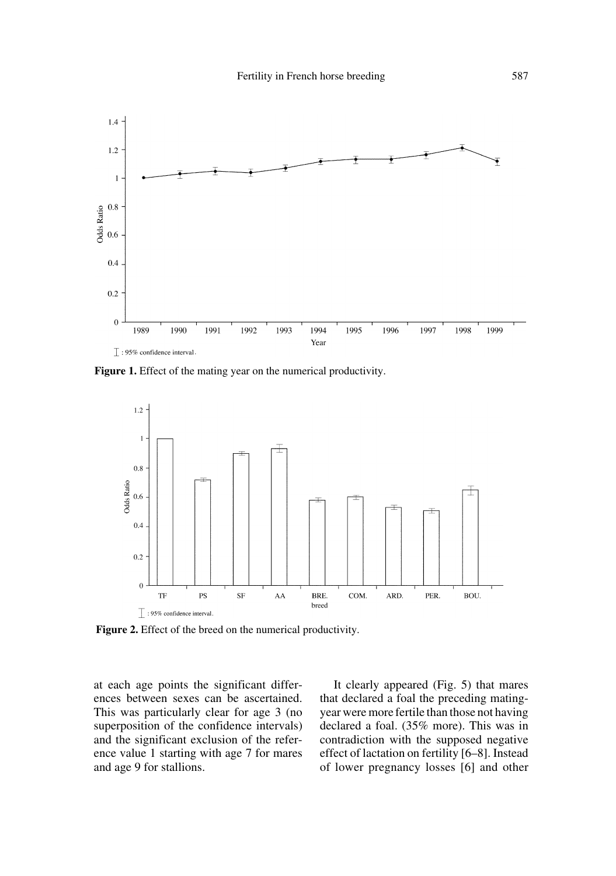

Figure 1. Effect of the mating year on the numerical productivity.



**Figure 2.** Effect of the breed on the numerical productivity.

at each age points the significant differences between sexes can be ascertained. This was particularly clear for age 3 (no superposition of the confidence intervals) and the significant exclusion of the reference value 1 starting with age 7 for mares and age 9 for stallions.

It clearly appeared (Fig. 5) that mares that declared a foal the preceding matingyear were more fertile than those not having declared a foal. (35% more). This was in contradiction with the supposed negative effect of lactation on fertility [6–8]. Instead of lower pregnancy losses [6] and other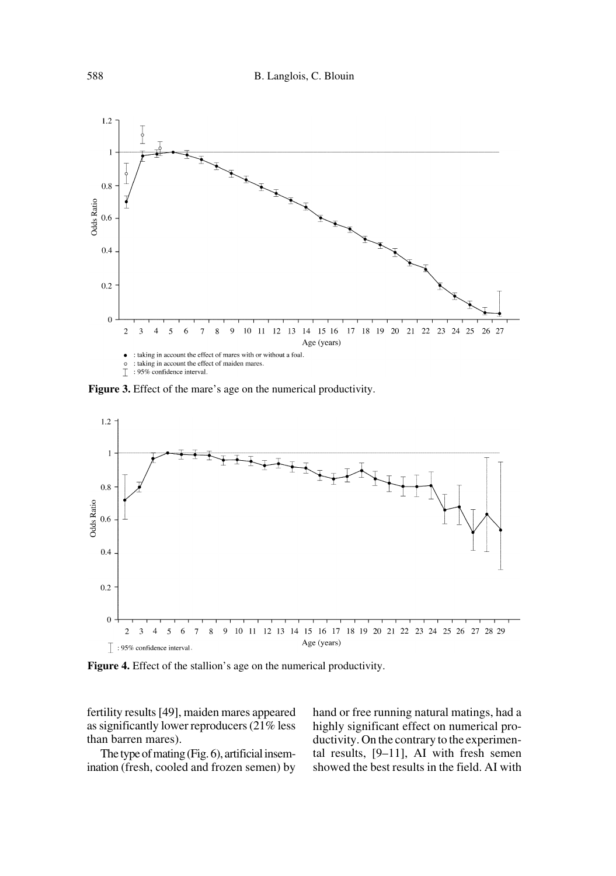

**Figure 3.** Effect of the mare's age on the numerical productivity.



**Figure 4.** Effect of the stallion's age on the numerical productivity.

fertility results [49], maiden mares appeared as significantly lower reproducers (21% less than barren mares).

The type of mating (Fig. 6), artificial insemination (fresh, cooled and frozen semen) by hand or free running natural matings, had a highly significant effect on numerical productivity. On the contrary to the experimental results, [9–11], AI with fresh semen showed the best results in the field. AI with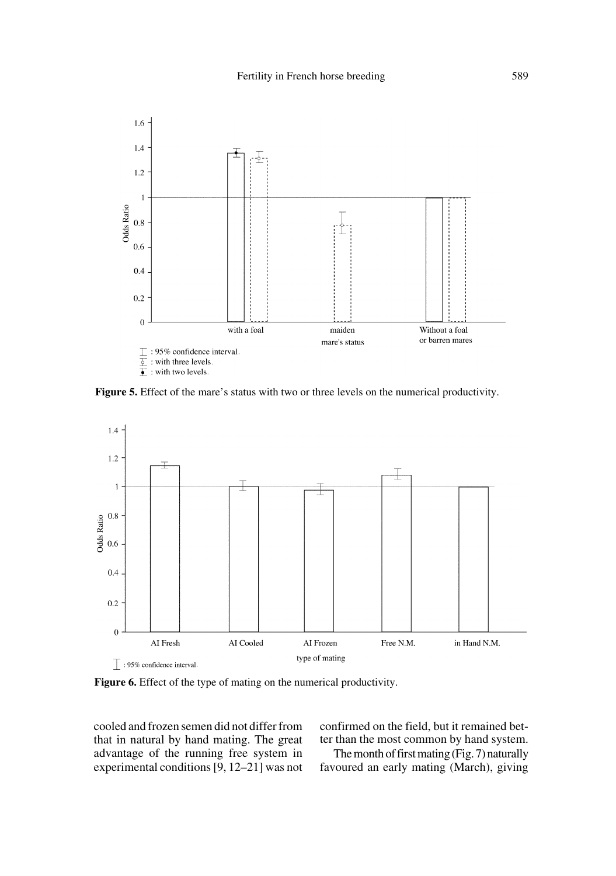

Figure 5. Effect of the mare's status with two or three levels on the numerical productivity.



**Figure 6.** Effect of the type of mating on the numerical productivity.

cooled and frozen semen did not differ from that in natural by hand mating. The great advantage of the running free system in experimental conditions [9, 12–21] was not confirmed on the field, but it remained better than the most common by hand system.

The month of first mating (Fig. 7) naturally favoured an early mating (March), giving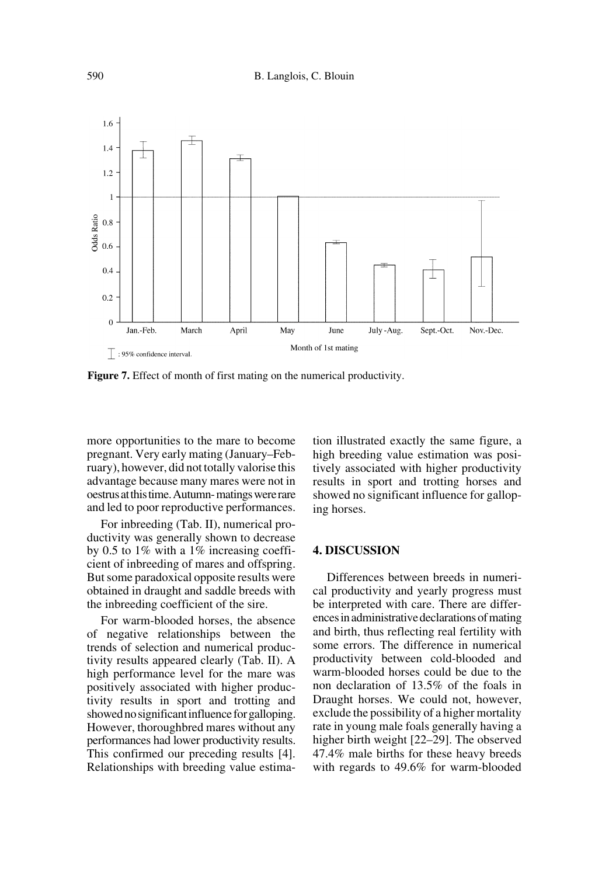

Figure 7. Effect of month of first mating on the numerical productivity.

more opportunities to the mare to become pregnant. Very early mating (January–February), however, did not totally valorise this advantage because many mares were not in oestrus at this time. Autumn- matings were rare and led to poor reproductive performances.

For inbreeding (Tab. II), numerical productivity was generally shown to decrease by 0.5 to 1% with a 1% increasing coefficient of inbreeding of mares and offspring. But some paradoxical opposite results were obtained in draught and saddle breeds with the inbreeding coefficient of the sire.

For warm-blooded horses, the absence of negative relationships between the trends of selection and numerical productivity results appeared clearly (Tab. II). A high performance level for the mare was positively associated with higher productivity results in sport and trotting and showed no significant influence for galloping. However, thoroughbred mares without any performances had lower productivity results. This confirmed our preceding results [4]. Relationships with breeding value estimation illustrated exactly the same figure, a high breeding value estimation was positively associated with higher productivity results in sport and trotting horses and showed no significant influence for galloping horses.

#### **4. DISCUSSION**

Differences between breeds in numerical productivity and yearly progress must be interpreted with care. There are differences in administrative declarations of mating and birth, thus reflecting real fertility with some errors. The difference in numerical productivity between cold-blooded and warm-blooded horses could be due to the non declaration of 13.5% of the foals in Draught horses. We could not, however, exclude the possibility of a higher mortality rate in young male foals generally having a higher birth weight [22–29]. The observed 47.4% male births for these heavy breeds with regards to 49.6% for warm-blooded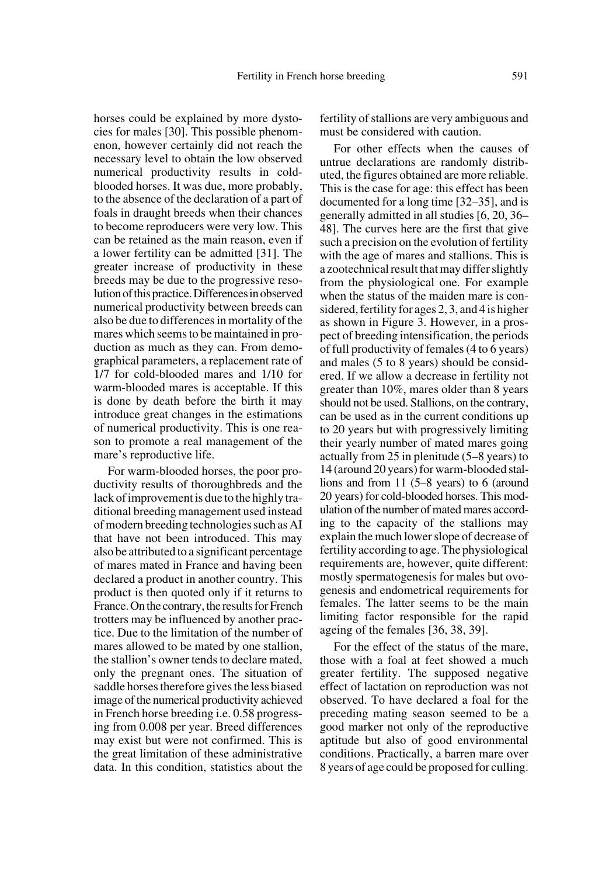horses could be explained by more dystocies for males [30]. This possible phenomenon, however certainly did not reach the necessary level to obtain the low observed numerical productivity results in coldblooded horses. It was due, more probably, to the absence of the declaration of a part of foals in draught breeds when their chances to become reproducers were very low. This can be retained as the main reason, even if a lower fertility can be admitted [31]. The greater increase of productivity in these breeds may be due to the progressive resolution of this practice. Differences in observed numerical productivity between breeds can also be due to differences in mortality of the mares which seems to be maintained in production as much as they can. From demographical parameters, a replacement rate of 1/7 for cold-blooded mares and 1/10 for warm-blooded mares is acceptable. If this is done by death before the birth it may introduce great changes in the estimations of numerical productivity. This is one reason to promote a real management of the mare's reproductive life.

For warm-blooded horses, the poor productivity results of thoroughbreds and the lack of improvement is due to the highly traditional breeding management used instead of modern breeding technologies such as AI that have not been introduced. This may also be attributed to a significant percentage of mares mated in France and having been declared a product in another country. This product is then quoted only if it returns to France. On the contrary, the results for French trotters may be influenced by another practice. Due to the limitation of the number of mares allowed to be mated by one stallion, the stallion's owner tends to declare mated, only the pregnant ones. The situation of saddle horses therefore gives the less biased image of the numerical productivity achieved in French horse breeding i.e. 0.58 progressing from 0.008 per year. Breed differences may exist but were not confirmed. This is the great limitation of these administrative data. In this condition, statistics about the

fertility of stallions are very ambiguous and must be considered with caution.

For other effects when the causes of untrue declarations are randomly distributed, the figures obtained are more reliable. This is the case for age: this effect has been documented for a long time [32–35], and is generally admitted in all studies [6, 20, 36– 48]. The curves here are the first that give such a precision on the evolution of fertility with the age of mares and stallions. This is a zootechnical result that may differ slightly from the physiological one. For example when the status of the maiden mare is considered, fertility for ages 2, 3, and 4 is higher as shown in Figure 3. However, in a prospect of breeding intensification, the periods of full productivity of females (4 to 6 years) and males (5 to 8 years) should be considered. If we allow a decrease in fertility not greater than 10%, mares older than 8 years should not be used. Stallions, on the contrary, can be used as in the current conditions up to 20 years but with progressively limiting their yearly number of mated mares going actually from 25 in plenitude (5–8 years) to 14 (around 20 years) for warm-blooded stallions and from 11 (5–8 years) to 6 (around 20 years) for cold-blooded horses. This modulation of the number of mated mares according to the capacity of the stallions may explain the much lower slope of decrease of fertility according to age. The physiological requirements are, however, quite different: mostly spermatogenesis for males but ovogenesis and endometrical requirements for females. The latter seems to be the main limiting factor responsible for the rapid ageing of the females [36, 38, 39].

For the effect of the status of the mare, those with a foal at feet showed a much greater fertility. The supposed negative effect of lactation on reproduction was not observed. To have declared a foal for the preceding mating season seemed to be a good marker not only of the reproductive aptitude but also of good environmental conditions. Practically, a barren mare over 8 years of age could be proposed for culling.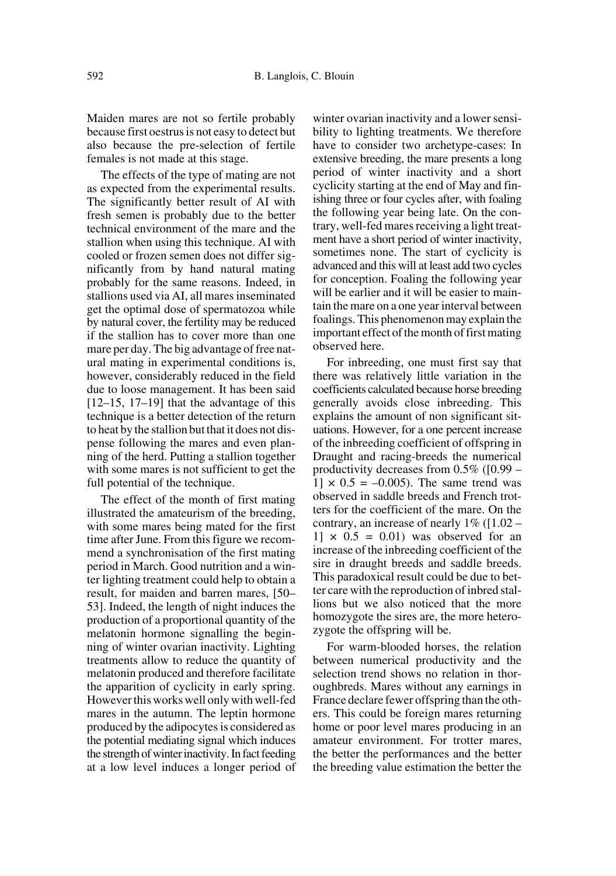Maiden mares are not so fertile probably because first oestrus is not easy to detect but also because the pre-selection of fertile females is not made at this stage.

The effects of the type of mating are not as expected from the experimental results. The significantly better result of AI with fresh semen is probably due to the better technical environment of the mare and the stallion when using this technique. AI with cooled or frozen semen does not differ significantly from by hand natural mating probably for the same reasons. Indeed, in stallions used via AI, all mares inseminated get the optimal dose of spermatozoa while by natural cover, the fertility may be reduced if the stallion has to cover more than one mare per day. The big advantage of free natural mating in experimental conditions is, however, considerably reduced in the field due to loose management. It has been said  $[12–15, 17–19]$  that the advantage of this technique is a better detection of the return to heat by the stallion but that it does not dispense following the mares and even planning of the herd. Putting a stallion together with some mares is not sufficient to get the full potential of the technique.

The effect of the month of first mating illustrated the amateurism of the breeding, with some mares being mated for the first time after June. From this figure we recommend a synchronisation of the first mating period in March. Good nutrition and a winter lighting treatment could help to obtain a result, for maiden and barren mares, [50– 53]. Indeed, the length of night induces the production of a proportional quantity of the melatonin hormone signalling the beginning of winter ovarian inactivity. Lighting treatments allow to reduce the quantity of melatonin produced and therefore facilitate the apparition of cyclicity in early spring. However this works well only with well-fed mares in the autumn. The leptin hormone produced by the adipocytes is considered as the potential mediating signal which induces the strength of winter inactivity. In fact feeding at a low level induces a longer period of winter ovarian inactivity and a lower sensibility to lighting treatments. We therefore have to consider two archetype-cases: In extensive breeding, the mare presents a long period of winter inactivity and a short cyclicity starting at the end of May and finishing three or four cycles after, with foaling the following year being late. On the contrary, well-fed mares receiving a light treatment have a short period of winter inactivity, sometimes none. The start of cyclicity is advanced and this will at least add two cycles for conception. Foaling the following year will be earlier and it will be easier to maintain the mare on a one year interval between foalings. This phenomenon may explain the important effect of the month of first mating observed here.

For inbreeding, one must first say that there was relatively little variation in the coefficients calculated because horse breeding generally avoids close inbreeding. This explains the amount of non significant situations. However, for a one percent increase of the inbreeding coefficient of offspring in Draught and racing-breeds the numerical productivity decreases from  $0.5\%$  ([0.99 –  $11 \times 0.5 = -0.005$ . The same trend was observed in saddle breeds and French trotters for the coefficient of the mare. On the contrary, an increase of nearly 1% ([1.02 –  $1 \times 0.5 = 0.01$  was observed for an increase of the inbreeding coefficient of the sire in draught breeds and saddle breeds. This paradoxical result could be due to better care with the reproduction of inbred stallions but we also noticed that the more homozygote the sires are, the more heterozygote the offspring will be.

For warm-blooded horses, the relation between numerical productivity and the selection trend shows no relation in thoroughbreds. Mares without any earnings in France declare fewer offspring than the others. This could be foreign mares returning home or poor level mares producing in an amateur environment. For trotter mares, the better the performances and the better the breeding value estimation the better the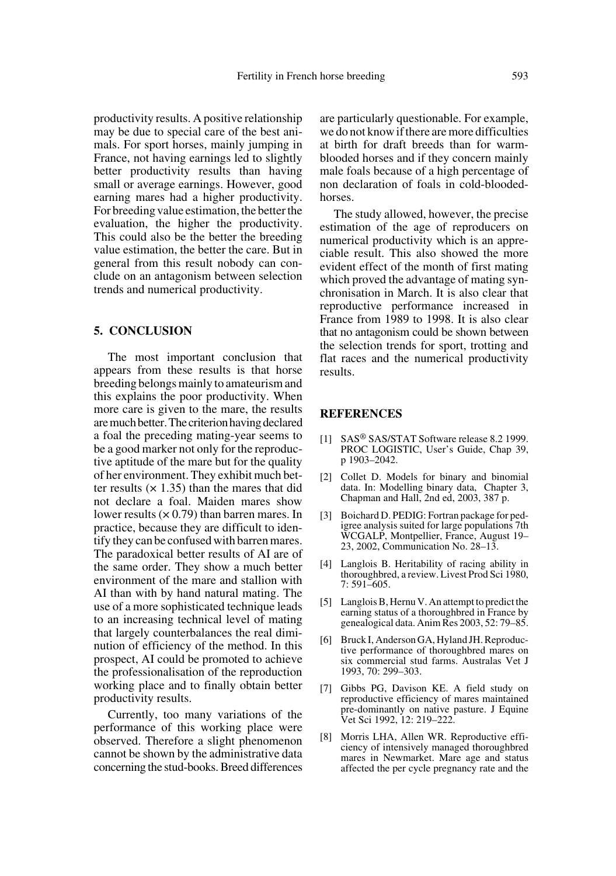productivity results. A positive relationship may be due to special care of the best animals. For sport horses, mainly jumping in France, not having earnings led to slightly better productivity results than having small or average earnings. However, good earning mares had a higher productivity. For breeding value estimation, the better the evaluation, the higher the productivity. This could also be the better the breeding value estimation, the better the care. But in general from this result nobody can conclude on an antagonism between selection trends and numerical productivity.

## **5. CONCLUSION**

The most important conclusion that appears from these results is that horse breeding belongs mainly to amateurism and this explains the poor productivity. When more care is given to the mare, the results are much better. The criterion having declared a foal the preceding mating-year seems to be a good marker not only for the reproductive aptitude of the mare but for the quality of her environment. They exhibit much better results  $(x 1.35)$  than the mares that did not declare a foal. Maiden mares show lower results  $(x 0.79)$  than barren mares. In practice, because they are difficult to identify they can be confused with barren mares. The paradoxical better results of AI are of the same order. They show a much better environment of the mare and stallion with AI than with by hand natural mating. The use of a more sophisticated technique leads to an increasing technical level of mating that largely counterbalances the real diminution of efficiency of the method. In this prospect, AI could be promoted to achieve the professionalisation of the reproduction working place and to finally obtain better productivity results.

Currently, too many variations of the performance of this working place were observed. Therefore a slight phenomenon cannot be shown by the administrative data concerning the stud-books. Breed differences

are particularly questionable. For example, we do not know if there are more difficulties at birth for draft breeds than for warmblooded horses and if they concern mainly male foals because of a high percentage of non declaration of foals in cold-bloodedhorses.

The study allowed, however, the precise estimation of the age of reproducers on numerical productivity which is an appreciable result. This also showed the more evident effect of the month of first mating which proved the advantage of mating synchronisation in March. It is also clear that reproductive performance increased in France from 1989 to 1998. It is also clear that no antagonism could be shown between the selection trends for sport, trotting and flat races and the numerical productivity results.

#### **REFERENCES**

- [1] SAS® SAS/STAT Software release 8.2 1999. PROC LOGISTIC, User's Guide, Chap 39, p 1903–2042.
- [2] Collet D. Models for binary and binomial data. In: Modelling binary data, Chapter 3, Chapman and Hall, 2nd ed, 2003, 387 p.
- [3] Boichard D. PEDIG: Fortran package for pedigree analysis suited for large populations 7th WCGALP, Montpellier, France, August 19– 23, 2002, Communication No. 28–13.
- [4] Langlois B. Heritability of racing ability in thoroughbred, a review. Livest Prod Sci 1980, 7: 591–605.
- [5] Langlois B, Hernu V. An attempt to predict the earning status of a thoroughbred in France by genealogical data. Anim Res 2003, 52: 79–85.
- [6] Bruck I, Anderson GA, Hyland JH. Reproductive performance of thoroughbred mares on six commercial stud farms. Australas Vet J 1993, 70: 299–303.
- [7] Gibbs PG, Davison KE. A field study on reproductive efficiency of mares maintained pre-dominantly on native pasture. J Equine Vet Sci 1992, 12: 219–222.
- [8] Morris LHA, Allen WR. Reproductive efficiency of intensively managed thoroughbred mares in Newmarket. Mare age and status affected the per cycle pregnancy rate and the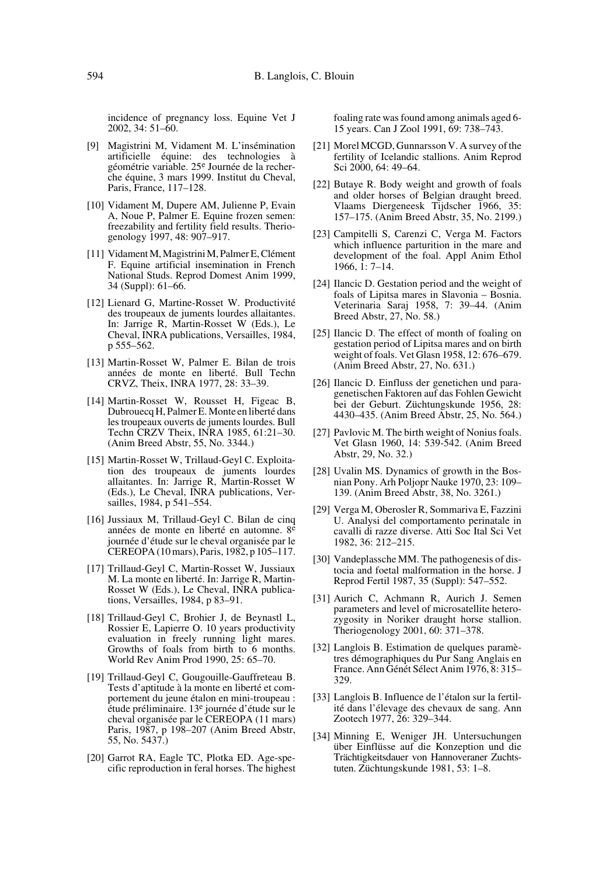incidence of pregnancy loss. Equine Vet J 2002, 34: 51–60.

- [9] Magistrini M, Vidament M. L'insémination artificielle équine: des technologies à géométrie variable. 25e Journée de la recherche équine, 3 mars 1999. Institut du Cheval, Paris, France, 117–128.
- [10] Vidament M, Dupere AM, Julienne P, Evain A, Noue P, Palmer E. Equine frozen semen: freezability and fertility field results. Theriogenology 1997, 48: 907–917.
- [11] Vidament M, Magistrini M, Palmer E, Clément F. Equine artificial insemination in French National Studs. Reprod Domest Anim 1999, 34 (Suppl): 61–66.
- [12] Lienard G, Martine-Rosset W. Productivité des troupeaux de juments lourdes allaitantes. In: Jarrige R, Martin-Rosset W (Eds.), Le Cheval, INRA publications, Versailles, 1984, p 555–562.
- [13] Martin-Rosset W, Palmer E. Bilan de trois années de monte en liberté. Bull Techn CRVZ, Theix, INRA 1977, 28: 33–39.
- [14] Martin-Rosset W, Rousset H, Figeac B, Dubrouecq H, Palmer E. Monte en liberté dans les troupeaux ouverts de juments lourdes. Bull Techn CRZV Theix, INRA 1985, 61:21–30. (Anim Breed Abstr, 55, No. 3344.)
- [15] Martin-Rosset W, Trillaud-Geyl C. Exploitation des troupeaux de juments lourdes allaitantes. In: Jarrige R, Martin-Rosset W (Eds.), Le Cheval, INRA publications, Versailles, 1984, p 541–554.
- [16] Jussiaux M, Trillaud-Geyl C. Bilan de cinq années de monte en liberté en automne. 8<sup>e</sup> journée d'étude sur le cheval organisée par le CEREOPA (10 mars), Paris, 1982, p 105–117.
- [17] Trillaud-Geyl C, Martin-Rosset W, Jussiaux M. La monte en liberté. In: Jarrige R, Martin-Rosset W (Eds.), Le Cheval, INRA publications, Versailles, 1984, p 83–91.
- [18] Trillaud-Geyl C, Brohier J, de Beynastl L, Rossier E, Lapierre O. 10 years productivity evaluation in freely running light mares. Growths of foals from birth to 6 months. World Rev Anim Prod 1990, 25: 65–70.
- [19] Trillaud-Geyl C, Gougouille-Gauffreteau B. Tests d'aptitude à la monte en liberté et comportement du jeune étalon en mini-troupeau : étude préliminaire. 13e journée d'étude sur le cheval organisée par le CEREOPA (11 mars) Paris, 1987, p 198–207 (Anim Breed Abstr, 55, No. 5437.)
- [20] Garrot RA, Eagle TC, Plotka ED. Age-specific reproduction in feral horses. The highest

foaling rate was found among animals aged 6- 15 years. Can J Zool 1991, 69: 738–743.

- [21] Morel MCGD, Gunnarsson V. A survey of the fertility of Icelandic stallions. Anim Reprod Sci 2000, 64: 49–64.
- [22] Butaye R. Body weight and growth of foals and older horses of Belgian draught breed. Vlaams Diergeneesk Tijdscher 1966, 35: 157–175. (Anim Breed Abstr, 35, No. 2199.)
- [23] Campitelli S, Carenzi C, Verga M. Factors which influence parturition in the mare and development of the foal. Appl Anim Ethol 1966, 1: 7–14.
- [24] Ilancic D. Gestation period and the weight of foals of Lipitsa mares in Slavonia – Bosnia. Veterinaria Saraj 1958, 7: 39–44. (Anim Breed Abstr, 27, No. 58.)
- [25] Ilancic D. The effect of month of foaling on gestation period of Lipitsa mares and on birth weight of foals. Vet Glasn 1958, 12: 676–679. (Anim Breed Abstr, 27, No. 631.)
- [26] Ilancic D. Einfluss der genetichen und paragenetischen Faktoren auf das Fohlen Gewicht bei der Geburt. Züchtungskunde 1956, 28: 4430–435. (Anim Breed Abstr, 25, No. 564.)
- [27] Pavlovic M. The birth weight of Nonius foals. Vet Glasn 1960, 14: 539-542. (Anim Breed Abstr, 29, No. 32.)
- [28] Uvalin MS. Dynamics of growth in the Bosnian Pony. Arh Poljopr Nauke 1970, 23: 109– 139. (Anim Breed Abstr, 38, No. 3261.)
- [29] Verga M, Oberosler R, Sommariva E, Fazzini U. Analysi del comportamento perinatale in cavalli di razze diverse. Atti Soc Ital Sci Vet 1982, 36: 212–215.
- [30] Vandeplassche MM. The pathogenesis of distocia and foetal malformation in the horse. J Reprod Fertil 1987, 35 (Suppl): 547–552.
- [31] Aurich C, Achmann R, Aurich J. Semen parameters and level of microsatellite heterozygosity in Noriker draught horse stallion. Theriogenology 2001, 60: 371–378.
- [32] Langlois B. Estimation de quelques paramètres démographiques du Pur Sang Anglais en France. Ann Génét Sélect Anim 1976, 8: 315– 329.
- [33] Langlois B. Influence de l'étalon sur la fertilité dans l'élevage des chevaux de sang. Ann Zootech 1977, 26: 329–344.
- [34] Minning E, Weniger JH. Untersuchungen über Einflüsse auf die Konzeption und die Trächtigkeitsdauer von Hannoveraner Zuchtstuten. Züchtungskunde 1981, 53: 1–8.